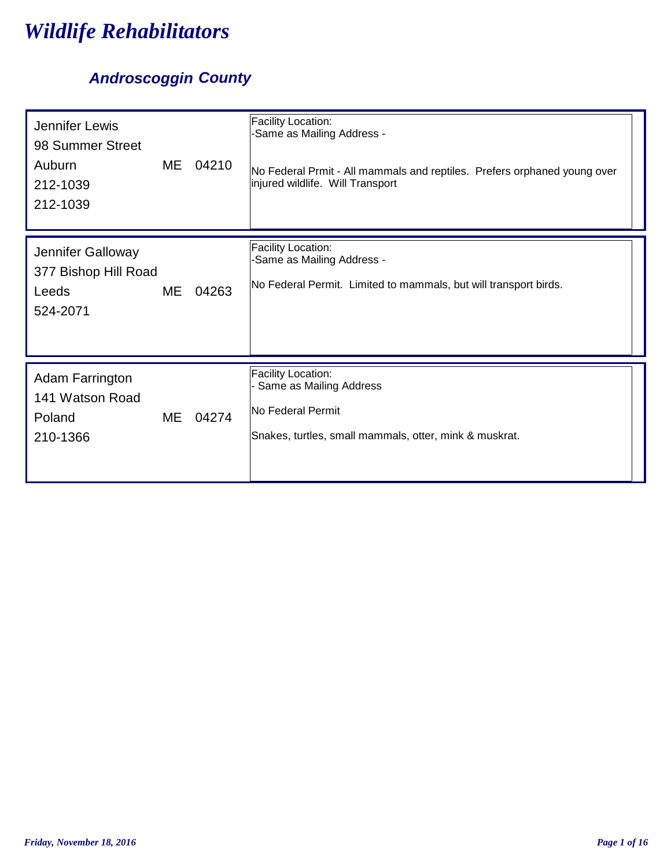# *Wildlife Rehabilitators*

## *Androscoggin County*

| Jennifer Lewis<br>98 Summer Street<br>Auburn<br>212-1039<br>212-1039 | ME | 04210    | Facility Location:<br>-Same as Mailing Address -<br>No Federal Prmit - All mammals and reptiles. Prefers orphaned young over<br>injured wildlife. Will Transport |
|----------------------------------------------------------------------|----|----------|------------------------------------------------------------------------------------------------------------------------------------------------------------------|
| Jennifer Galloway<br>377 Bishop Hill Road<br>Leeds<br>524-2071       | ME | 04263    | Facility Location:<br>-Same as Mailing Address -<br>No Federal Permit. Limited to mammals, but will transport birds.                                             |
| <b>Adam Farrington</b><br>141 Watson Road<br>Poland<br>210-1366      |    | ME 04274 | Facility Location:<br>Same as Mailing Address<br>No Federal Permit<br>Snakes, turtles, small mammals, otter, mink & muskrat.                                     |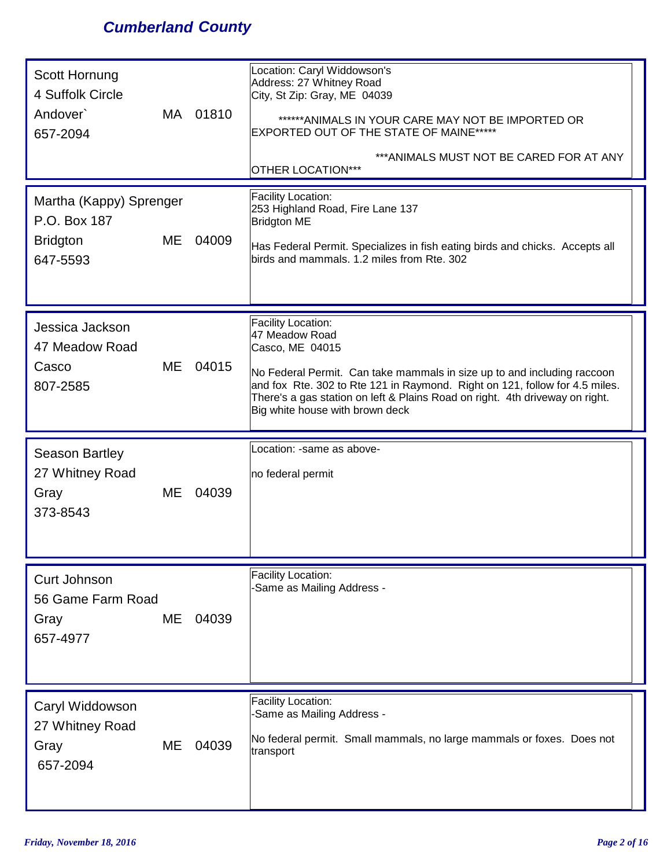## *Cumberland County*

| Scott Hornung<br>4 Suffolk Circle<br>Andover <sup>&gt;</sup><br>657-2094     | MA 01810 | Location: Caryl Widdowson's<br>Address: 27 Whitney Road<br>City, St Zip: Gray, ME 04039<br>******ANIMALS IN YOUR CARE MAY NOT BE IMPORTED OR<br>EXPORTED OUT OF THE STATE OF MAINE******<br>*** ANIMALS MUST NOT BE CARED FOR AT ANY<br>OTHER LOCATION***                                                                                   |
|------------------------------------------------------------------------------|----------|---------------------------------------------------------------------------------------------------------------------------------------------------------------------------------------------------------------------------------------------------------------------------------------------------------------------------------------------|
| Martha (Kappy) Sprenger<br>P.O. Box 187<br>ME<br><b>Bridgton</b><br>647-5593 | 04009    | Facility Location:<br>253 Highland Road, Fire Lane 137<br><b>Bridgton ME</b><br>Has Federal Permit. Specializes in fish eating birds and chicks. Accepts all<br>birds and mammals. 1.2 miles from Rte. 302                                                                                                                                  |
| Jessica Jackson<br>47 Meadow Road<br>ME<br>Casco<br>807-2585                 | 04015    | <b>Facility Location:</b><br>47 Meadow Road<br>Casco, ME 04015<br>No Federal Permit. Can take mammals in size up to and including raccoon<br>and fox Rte. 302 to Rte 121 in Raymond. Right on 121, follow for 4.5 miles.<br>There's a gas station on left & Plains Road on right. 4th driveway on right.<br>Big white house with brown deck |
| <b>Season Bartley</b><br>27 Whitney Road<br>ME<br>Gray<br>373-8543           | 04039    | Location: -same as above-<br>no federal permit                                                                                                                                                                                                                                                                                              |
| Curt Johnson<br>56 Game Farm Road<br>ME<br>Gray<br>657-4977                  | 04039    | <b>Facility Location:</b><br>-Same as Mailing Address -                                                                                                                                                                                                                                                                                     |
| Caryl Widdowson<br>27 Whitney Road<br>ME<br>Gray<br>657-2094                 | 04039    | Facility Location:<br>-Same as Mailing Address -<br>No federal permit. Small mammals, no large mammals or foxes. Does not<br>transport                                                                                                                                                                                                      |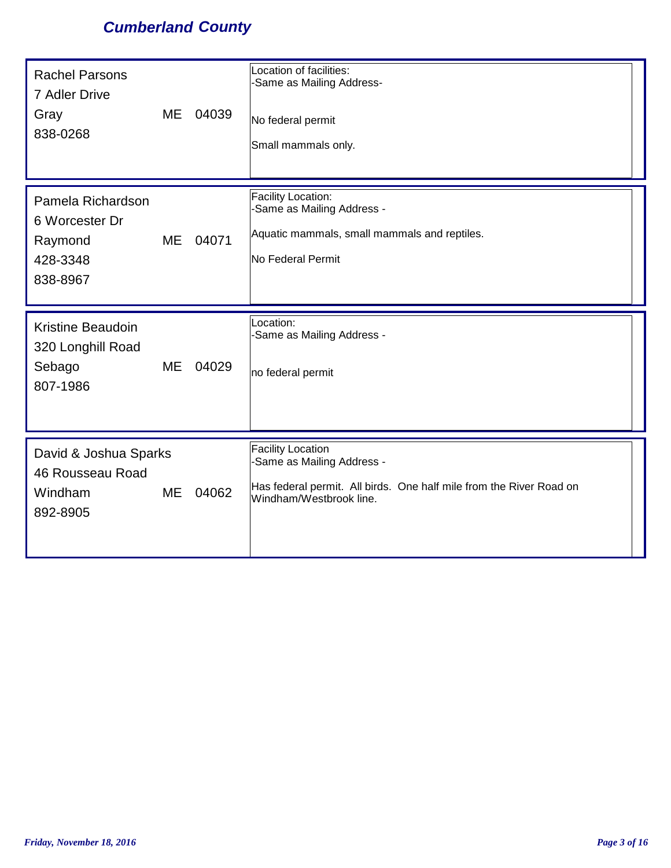## *Cumberland County*

| <b>Rachel Parsons</b><br>7 Adler Drive<br>Gray<br>838-0268             | <b>ME</b> | 04039 | Location of facilities:<br>-Same as Mailing Address-<br>No federal permit<br>Small mammals only.                                                         |
|------------------------------------------------------------------------|-----------|-------|----------------------------------------------------------------------------------------------------------------------------------------------------------|
| Pamela Richardson<br>6 Worcester Dr<br>Raymond<br>428-3348<br>838-8967 | ME        | 04071 | Facility Location:<br>-Same as Mailing Address -<br>Aquatic mammals, small mammals and reptiles.<br>No Federal Permit                                    |
| <b>Kristine Beaudoin</b><br>320 Longhill Road<br>Sebago<br>807-1986    | ME        | 04029 | Location:<br>-Same as Mailing Address -<br>no federal permit                                                                                             |
| David & Joshua Sparks<br>46 Rousseau Road<br>Windham<br>892-8905       | <b>ME</b> | 04062 | <b>Facility Location</b><br>-Same as Mailing Address -<br>Has federal permit. All birds. One half mile from the River Road on<br>Windham/Westbrook line. |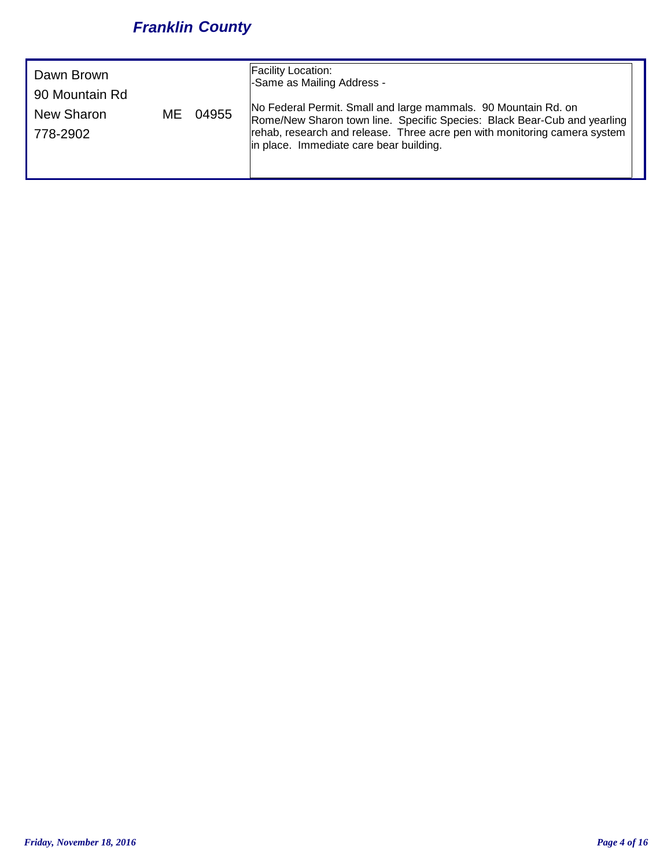## *Franklin County*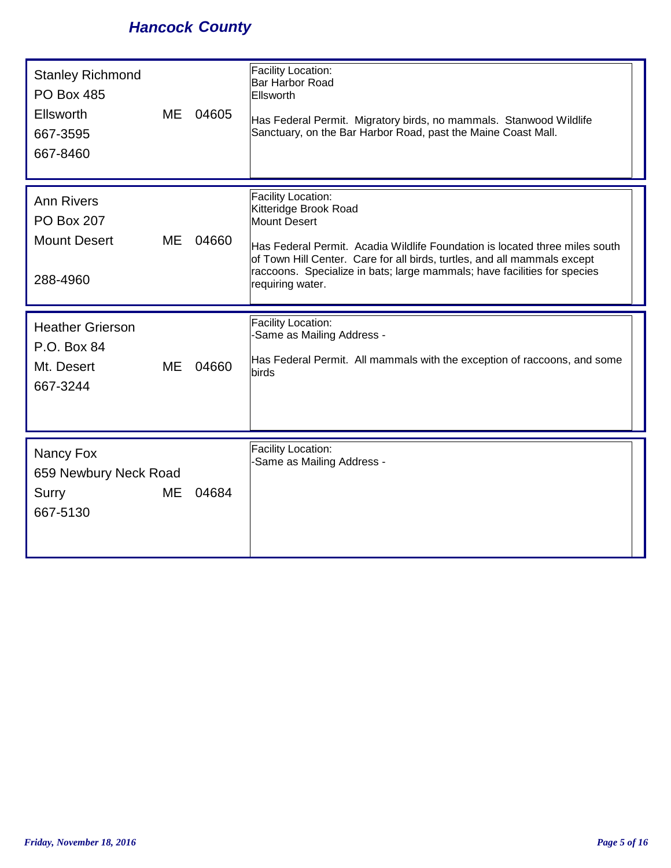## *Hancock County*

| <b>Stanley Richmond</b><br><b>PO Box 485</b><br>Ellsworth<br>667-3595<br>667-8460 | <b>ME</b> | 04605 | Facility Location:<br>Bar Harbor Road<br><b>Ellsworth</b><br>Has Federal Permit. Migratory birds, no mammals. Stanwood Wildlife<br>Sanctuary, on the Bar Harbor Road, past the Maine Coast Mall.                                                                                                                                     |
|-----------------------------------------------------------------------------------|-----------|-------|--------------------------------------------------------------------------------------------------------------------------------------------------------------------------------------------------------------------------------------------------------------------------------------------------------------------------------------|
| <b>Ann Rivers</b><br><b>PO Box 207</b><br><b>Mount Desert</b><br>288-4960         | <b>ME</b> | 04660 | <b>Facility Location:</b><br>Kitteridge Brook Road<br><b>Mount Desert</b><br>Has Federal Permit. Acadia Wildlife Foundation is located three miles south<br>of Town Hill Center. Care for all birds, turtles, and all mammals except<br>raccoons. Specialize in bats; large mammals; have facilities for species<br>requiring water. |
| <b>Heather Grierson</b><br>P.O. Box 84<br>Mt. Desert<br>667-3244                  | <b>ME</b> | 04660 | Facility Location:<br>-Same as Mailing Address -<br>Has Federal Permit. All mammals with the exception of raccoons, and some<br>birds                                                                                                                                                                                                |
| Nancy Fox<br>659 Newbury Neck Road<br><b>Surry</b><br>667-5130                    | <b>ME</b> | 04684 | Facility Location:<br>-Same as Mailing Address -                                                                                                                                                                                                                                                                                     |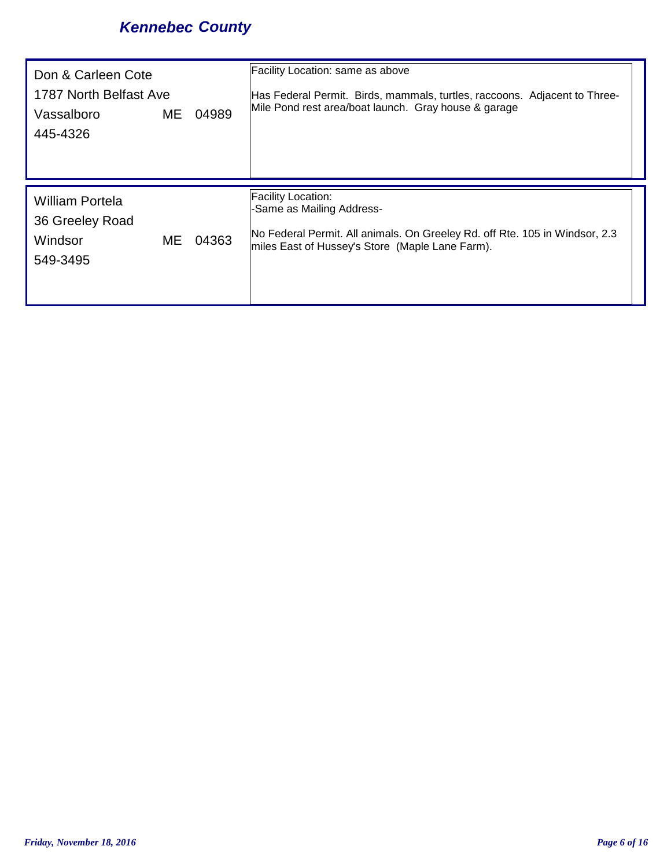## *Kennebec County*

| Don & Carleen Cote<br>1787 North Belfast Ave<br>Vassalboro<br>445-4326 | ME | 04989 | Facility Location: same as above<br>Has Federal Permit. Birds, mammals, turtles, raccoons. Adjacent to Three-<br>Mile Pond rest area/boat launch. Gray house & garage                    |
|------------------------------------------------------------------------|----|-------|------------------------------------------------------------------------------------------------------------------------------------------------------------------------------------------|
| <b>William Portela</b><br>36 Greeley Road<br>Windsor<br>549-3495       | ME | 04363 | <b>Facility Location:</b><br>-Same as Mailing Address-<br>No Federal Permit. All animals. On Greeley Rd. off Rte. 105 in Windsor, 2.3<br>miles East of Hussey's Store (Maple Lane Farm). |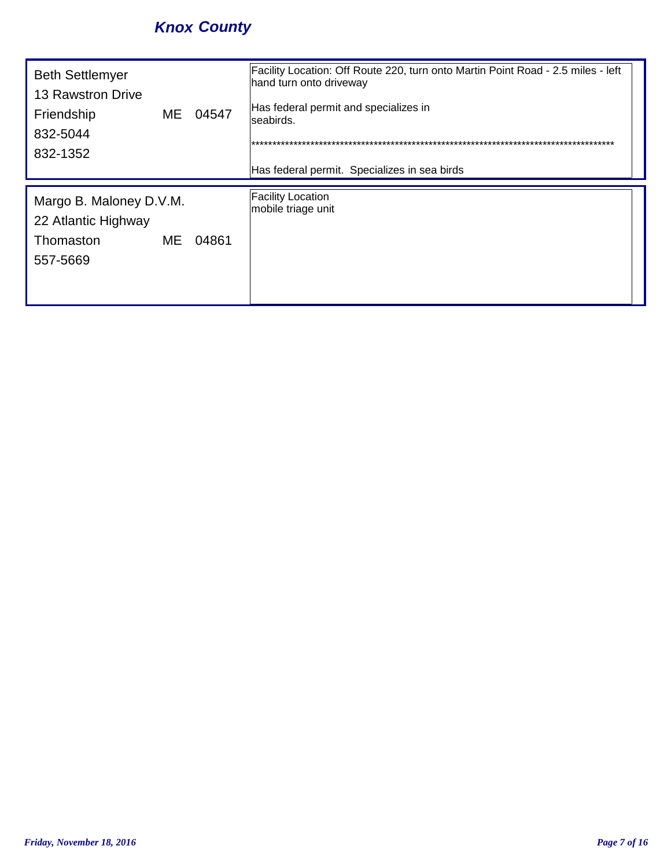## *Knox County*

| <b>Beth Settlemyer</b><br>13 Rawstron Drive<br>Friendship<br>832-5044<br>832-1352 |    | ME 04547 | Facility Location: Off Route 220, turn onto Martin Point Road - 2.5 miles - left<br>hand turn onto driveway<br>Has federal permit and specializes in<br>seabirds.<br>Has federal permit. Specializes in sea birds |
|-----------------------------------------------------------------------------------|----|----------|-------------------------------------------------------------------------------------------------------------------------------------------------------------------------------------------------------------------|
| Margo B. Maloney D.V.M.<br>22 Atlantic Highway<br>Thomaston<br>557-5669           | ME | 04861    | <b>Facility Location</b><br>mobile triage unit                                                                                                                                                                    |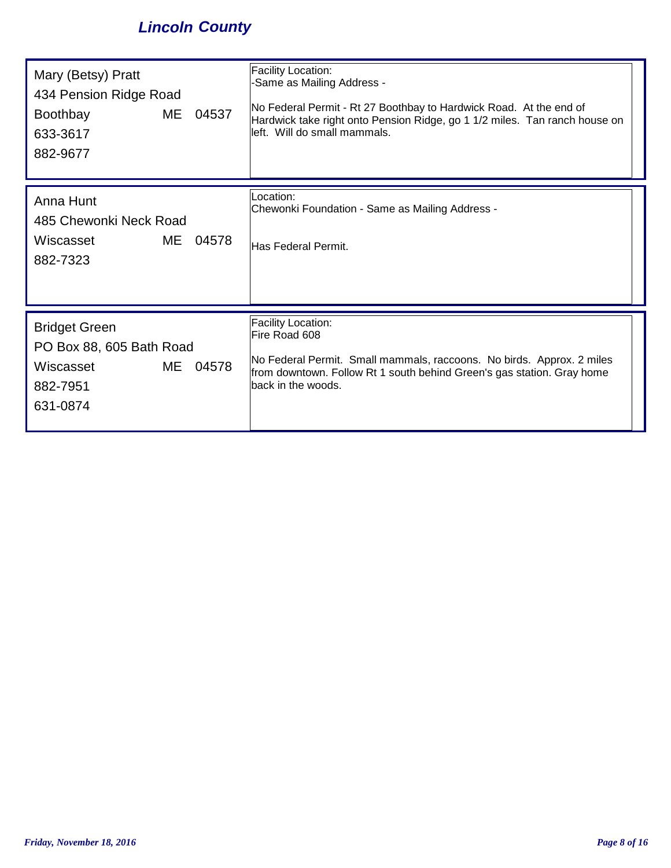## *Lincoln County*

| Mary (Betsy) Pratt<br>434 Pension Ridge Road<br><b>Boothbay</b><br>ME<br>633-3617<br>882-9677 | 04537 | Facility Location:<br>-Same as Mailing Address -<br>No Federal Permit - Rt 27 Boothbay to Hardwick Road. At the end of<br>Hardwick take right onto Pension Ridge, go 1 1/2 miles. Tan ranch house on<br>left. Will do small mammals. |
|-----------------------------------------------------------------------------------------------|-------|--------------------------------------------------------------------------------------------------------------------------------------------------------------------------------------------------------------------------------------|
| Anna Hunt<br>485 Chewonki Neck Road<br>ME<br>Wiscasset<br>882-7323                            | 04578 | Location:<br>Chewonki Foundation - Same as Mailing Address -<br>Has Federal Permit.                                                                                                                                                  |
| <b>Bridget Green</b><br>PO Box 88, 605 Bath Road<br>ME<br>Wiscasset<br>882-7951<br>631-0874   | 04578 | Facility Location:<br>Fire Road 608<br>No Federal Permit. Small mammals, raccoons. No birds. Approx. 2 miles<br>from downtown. Follow Rt 1 south behind Green's gas station. Gray home<br>back in the woods.                         |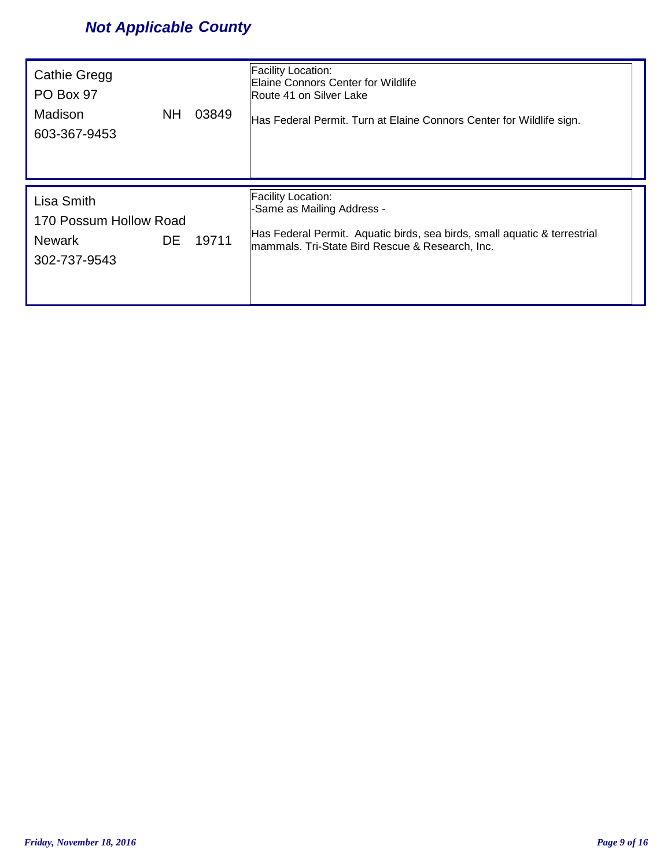## *Not Applicable County*

| <b>Cathie Gregg</b><br>PO Box 97<br>Madison<br><b>NH</b><br>603-367-9453    | 03849 | Facility Location:<br><b>Elaine Connors Center for Wildlife</b><br>Route 41 on Silver Lake<br>Has Federal Permit. Turn at Elaine Connors Center for Wildlife sign.                      |
|-----------------------------------------------------------------------------|-------|-----------------------------------------------------------------------------------------------------------------------------------------------------------------------------------------|
| Lisa Smith<br>170 Possum Hollow Road<br>DE<br><b>Newark</b><br>302-737-9543 | 19711 | <b>Facility Location:</b><br>-Same as Mailing Address -<br>Has Federal Permit. Aquatic birds, sea birds, small aquatic & terrestrial<br>mammals. Tri-State Bird Rescue & Research, Inc. |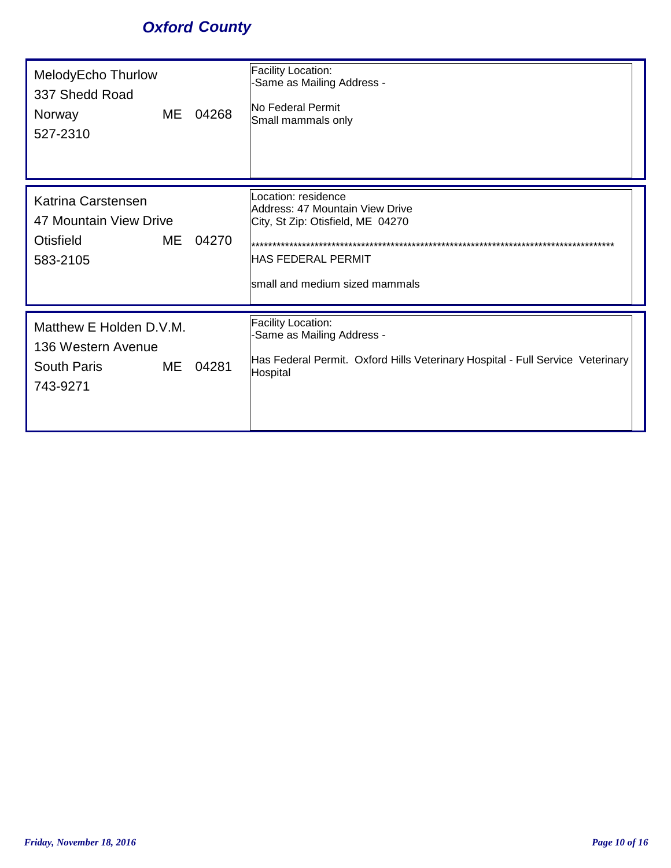## *Oxford County*

| MelodyEcho Thurlow<br>337 Shedd Road<br>ME<br>Norway<br>527-2310                      | 04268 | Facility Location:<br>-Same as Mailing Address -<br><b>No Federal Permit</b><br>Small mammals only                                                    |
|---------------------------------------------------------------------------------------|-------|-------------------------------------------------------------------------------------------------------------------------------------------------------|
| Katrina Carstensen<br>47 Mountain View Drive<br><b>Otisfield</b><br>ME<br>583-2105    | 04270 | Location: residence<br>Address: 47 Mountain View Drive<br>City, St Zip: Otisfield, ME 04270<br>HAS FEDERAL PERMIT<br>small and medium sized mammals   |
| Matthew E Holden D.V.M.<br>136 Western Avenue<br><b>South Paris</b><br>ME<br>743-9271 | 04281 | <b>Facility Location:</b><br>-Same as Mailing Address -<br>Has Federal Permit. Oxford Hills Veterinary Hospital - Full Service Veterinary<br>Hospital |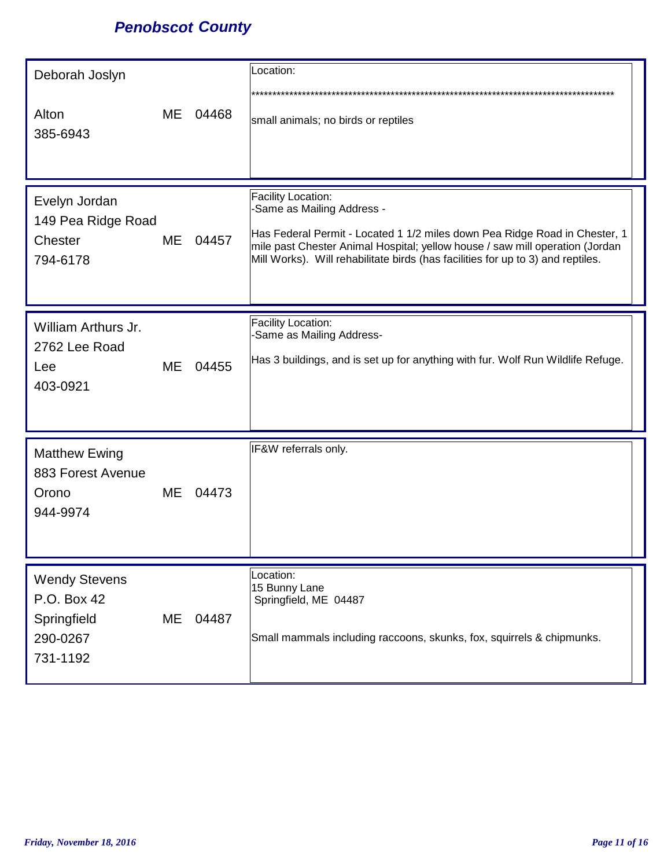## *Penobscot County*

| Deborah Joslyn<br>Alton<br>385-6943                                        | ME        | 04468 | Location:<br>small animals; no birds or reptiles                                                                                                                                                                                                                                                  |
|----------------------------------------------------------------------------|-----------|-------|---------------------------------------------------------------------------------------------------------------------------------------------------------------------------------------------------------------------------------------------------------------------------------------------------|
| Evelyn Jordan<br>149 Pea Ridge Road<br>Chester<br>794-6178                 | ME        | 04457 | Facility Location:<br>-Same as Mailing Address -<br>Has Federal Permit - Located 1 1/2 miles down Pea Ridge Road in Chester, 1<br>mile past Chester Animal Hospital; yellow house / saw mill operation (Jordan<br>Mill Works). Will rehabilitate birds (has facilities for up to 3) and reptiles. |
| William Arthurs Jr.<br>2762 Lee Road<br>Lee<br>403-0921                    | ME        | 04455 | Facility Location:<br>-Same as Mailing Address-<br>Has 3 buildings, and is set up for anything with fur. Wolf Run Wildlife Refuge.                                                                                                                                                                |
| <b>Matthew Ewing</b><br>883 Forest Avenue<br>Orono<br>944-9974             | <b>ME</b> | 04473 | IF&W referrals only.                                                                                                                                                                                                                                                                              |
| <b>Wendy Stevens</b><br>P.O. Box 42<br>Springfield<br>290-0267<br>731-1192 | ME        | 04487 | Location:<br>15 Bunny Lane<br>Springfield, ME 04487<br>Small mammals including raccoons, skunks, fox, squirrels & chipmunks.                                                                                                                                                                      |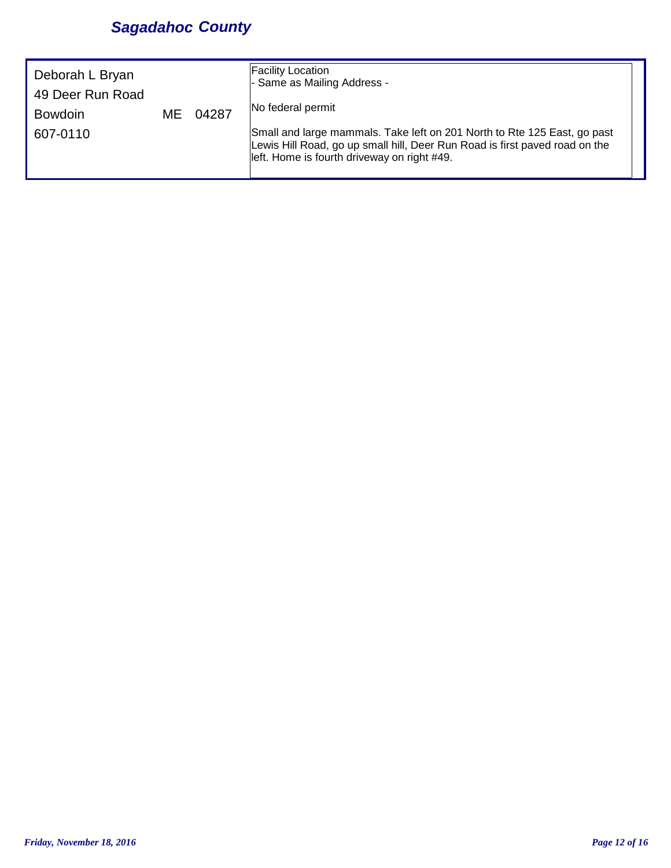## *Sagadahoc County*

| Deborah L Bryan<br>49 Deer Run Road<br><b>Bowdoin</b><br>ME.<br>607-0110 | 04287 | <b>Facility Location</b><br>- Same as Mailing Address -<br>No federal permit<br>Small and large mammals. Take left on 201 North to Rte 125 East, go past<br>Lewis Hill Road, go up small hill, Deer Run Road is first paved road on the<br>left. Home is fourth driveway on right #49. |  |
|--------------------------------------------------------------------------|-------|----------------------------------------------------------------------------------------------------------------------------------------------------------------------------------------------------------------------------------------------------------------------------------------|--|
|--------------------------------------------------------------------------|-------|----------------------------------------------------------------------------------------------------------------------------------------------------------------------------------------------------------------------------------------------------------------------------------------|--|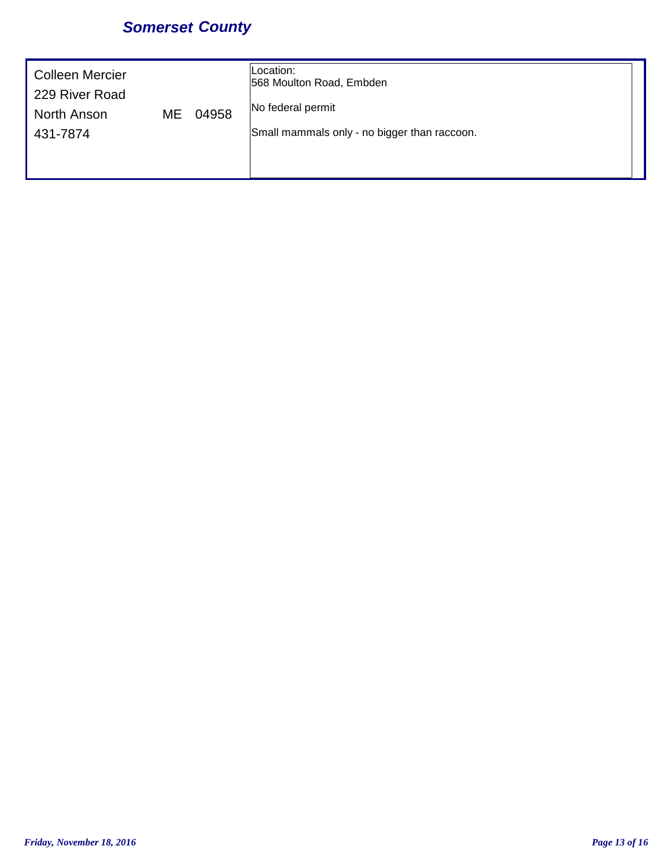## *Somerset County*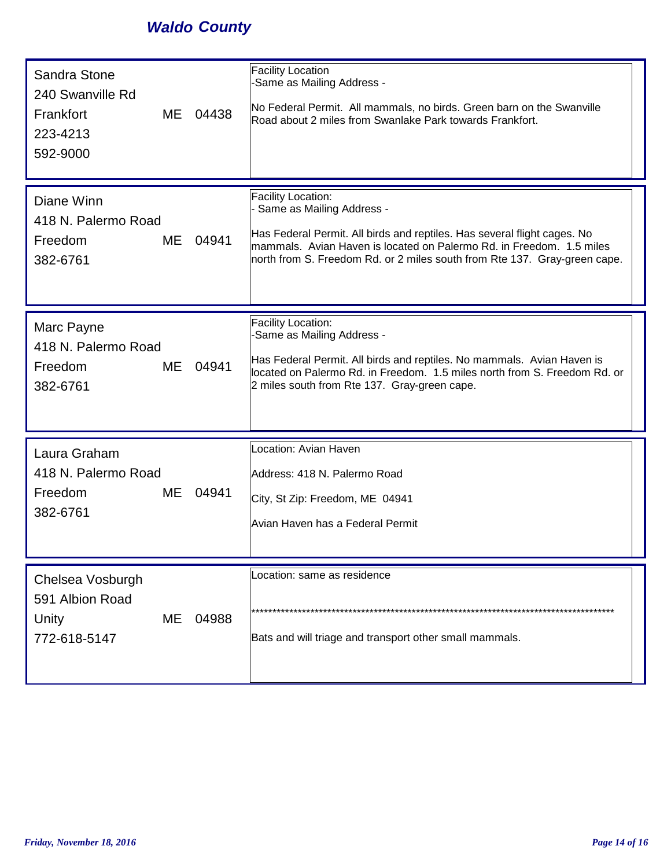## *Waldo County*

| Sandra Stone<br>240 Swanville Rd<br>Frankfort<br>ME<br>223-4213<br>592-9000 | 04438 | <b>Facility Location</b><br>-Same as Mailing Address -<br>No Federal Permit. All mammals, no birds. Green barn on the Swanville<br>Road about 2 miles from Swanlake Park towards Frankfort.                                                                                      |
|-----------------------------------------------------------------------------|-------|----------------------------------------------------------------------------------------------------------------------------------------------------------------------------------------------------------------------------------------------------------------------------------|
| Diane Winn<br>418 N. Palermo Road<br>Freedom<br>ME.<br>382-6761             | 04941 | Facility Location:<br>Same as Mailing Address -<br>Has Federal Permit. All birds and reptiles. Has several flight cages. No<br>mammals. Avian Haven is located on Palermo Rd. in Freedom. 1.5 miles<br>north from S. Freedom Rd. or 2 miles south from Rte 137. Gray-green cape. |
| Marc Payne<br>418 N. Palermo Road<br>Freedom<br>ME<br>382-6761              | 04941 | Facility Location:<br>-Same as Mailing Address -<br>Has Federal Permit. All birds and reptiles. No mammals. Avian Haven is<br>located on Palermo Rd. in Freedom. 1.5 miles north from S. Freedom Rd. or<br>2 miles south from Rte 137. Gray-green cape.                          |
| Laura Graham<br>418 N. Palermo Road<br>Freedom<br>ME<br>382-6761            | 04941 | Location: Avian Haven<br>Address: 418 N. Palermo Road<br>City, St Zip: Freedom, ME 04941<br>Avian Haven has a Federal Permit                                                                                                                                                     |
| Chelsea Vosburgh<br>591 Albion Road<br>Unity<br>ME<br>772-618-5147          | 04988 | Location: same as residence<br>Bats and will triage and transport other small mammals.                                                                                                                                                                                           |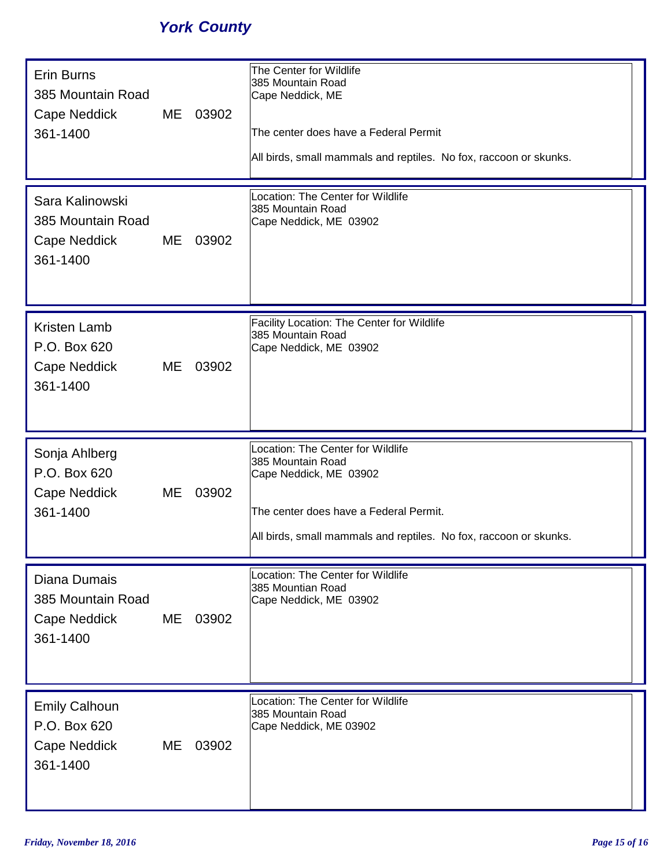## *York County*

| <b>Erin Burns</b><br>385 Mountain Road<br>Cape Neddick<br>361-1400 | ME | 03902 | The Center for Wildlife<br>385 Mountain Road<br>Cape Neddick, ME<br>The center does have a Federal Permit<br>All birds, small mammals and reptiles. No fox, raccoon or skunks.                  |
|--------------------------------------------------------------------|----|-------|-------------------------------------------------------------------------------------------------------------------------------------------------------------------------------------------------|
| Sara Kalinowski<br>385 Mountain Road<br>Cape Neddick<br>361-1400   | ME | 03902 | Location: The Center for Wildlife<br>385 Mountain Road<br>Cape Neddick, ME 03902                                                                                                                |
| <b>Kristen Lamb</b><br>P.O. Box 620<br>Cape Neddick<br>361-1400    | ME | 03902 | Facility Location: The Center for Wildlife<br>385 Mountain Road<br>Cape Neddick, ME 03902                                                                                                       |
|                                                                    |    |       |                                                                                                                                                                                                 |
| Sonja Ahlberg<br>P.O. Box 620<br>Cape Neddick<br>361-1400          | ME | 03902 | Location: The Center for Wildlife<br>385 Mountain Road<br>Cape Neddick, ME 03902<br>The center does have a Federal Permit.<br>All birds, small mammals and reptiles. No fox, raccoon or skunks. |
| Diana Dumais<br>385 Mountain Road<br>Cape Neddick<br>361-1400      | ME | 03902 | Location: The Center for Wildlife<br>385 Mountian Road<br>Cape Neddick, ME 03902                                                                                                                |